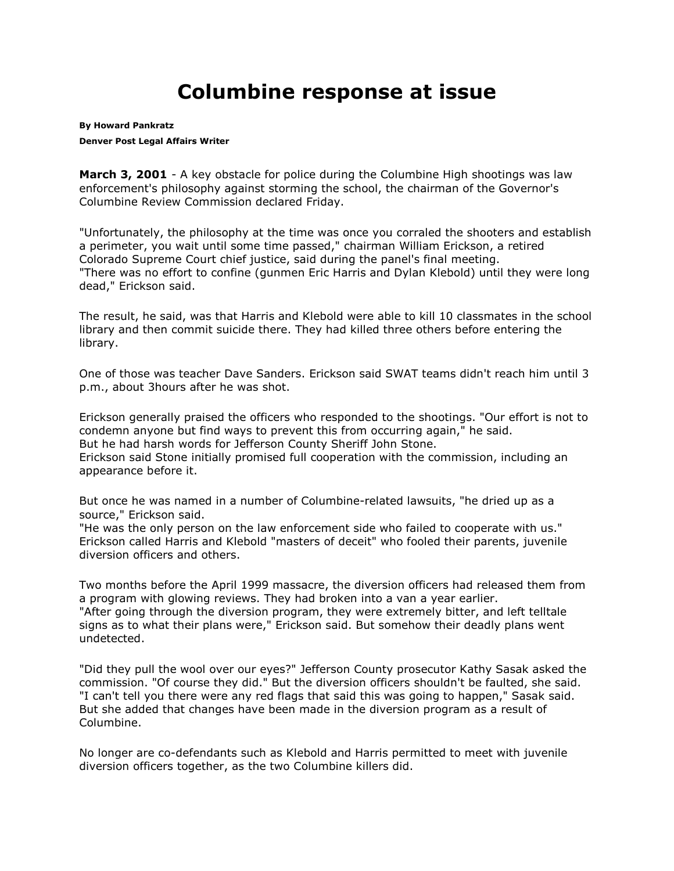## **Columbine response at issue**

**By [Howard Pankratz](mailto:hpankratz@denverpost.com) Denver Post Legal Affairs Writer**

**March 3, 2001** - A key obstacle for police during the Columbine High shootings was law enforcement's philosophy against storming the school, the chairman of the Governor's Columbine Review Commission declared Friday.

"Unfortunately, the philosophy at the time was once you corraled the shooters and establish a perimeter, you wait until some time passed," chairman William Erickson, a retired Colorado Supreme Court chief justice, said during the panel's final meeting. "There was no effort to confine (gunmen Eric Harris and Dylan Klebold) until they were long dead," Erickson said.

The result, he said, was that Harris and Klebold were able to kill 10 classmates in the school library and then commit suicide there. They had killed three others before entering the library.

One of those was teacher Dave Sanders. Erickson said SWAT teams didn't reach him until 3 p.m., about 3hours after he was shot.

Erickson generally praised the officers who responded to the shootings. "Our effort is not to condemn anyone but find ways to prevent this from occurring again," he said. But he had harsh words for Jefferson County Sheriff John Stone.

Erickson said Stone initially promised full cooperation with the commission, including an appearance before it.

But once he was named in a number of Columbine-related lawsuits, "he dried up as a source," Erickson said.

"He was the only person on the law enforcement side who failed to cooperate with us." Erickson called Harris and Klebold "masters of deceit" who fooled their parents, juvenile diversion officers and others.

Two months before the April 1999 massacre, the diversion officers had released them from a program with glowing reviews. They had broken into a van a year earlier. "After going through the diversion program, they were extremely bitter, and left telltale signs as to what their plans were," Erickson said. But somehow their deadly plans went undetected.

"Did they pull the wool over our eyes?" Jefferson County prosecutor Kathy Sasak asked the commission. "Of course they did." But the diversion officers shouldn't be faulted, she said. "I can't tell you there were any red flags that said this was going to happen," Sasak said. But she added that changes have been made in the diversion program as a result of Columbine.

No longer are co-defendants such as Klebold and Harris permitted to meet with juvenile diversion officers together, as the two Columbine killers did.